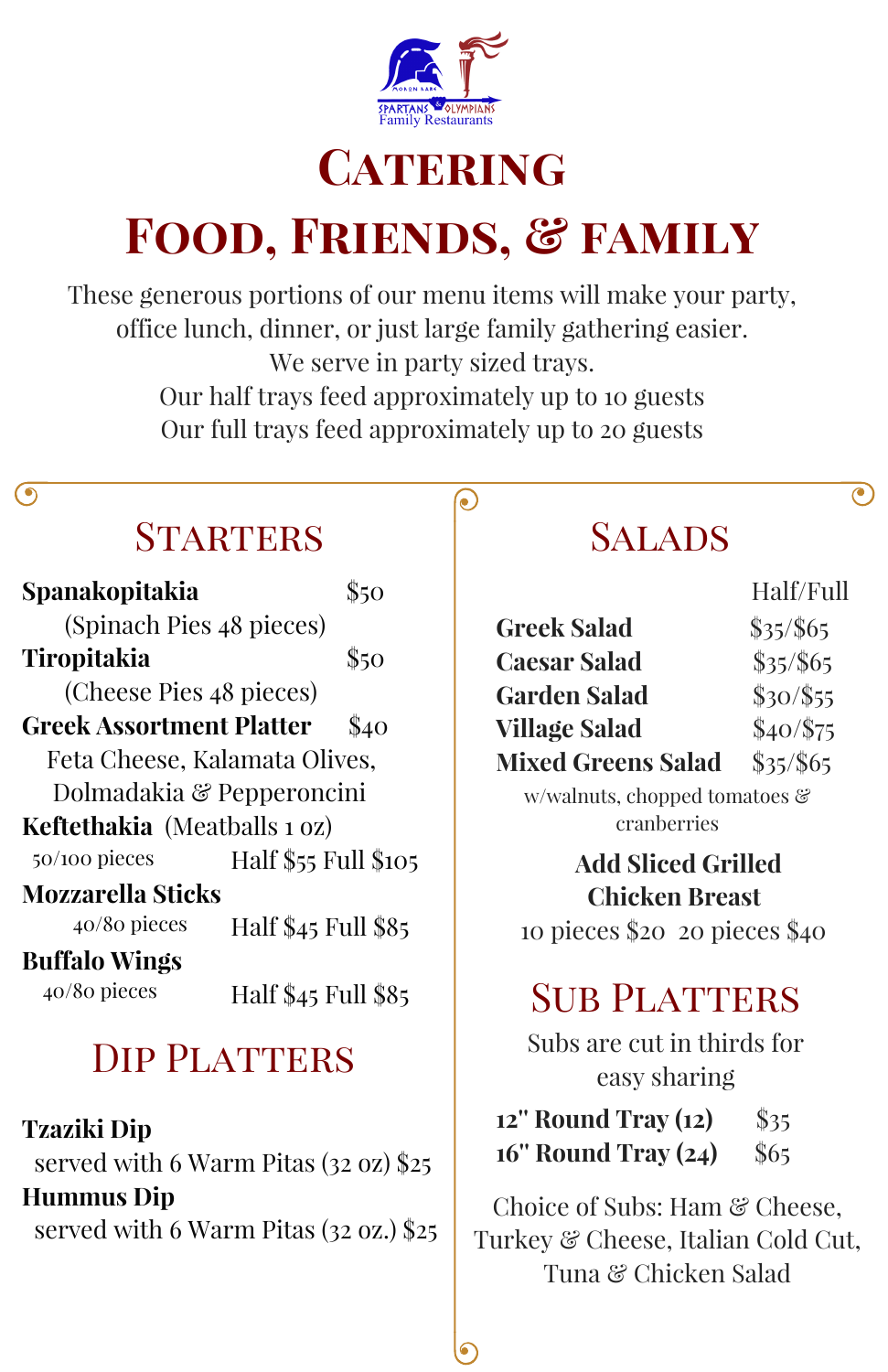

# **CATERING**

# **Food, Friends, & family**

These generous portions of our menu items will make your party, office lunch, dinner, or just large family gathering easier. We serve in party sized trays. Our half trays feed approximately up to 10 guests Our full trays feed approximately up to 20 guests

 $\bullet)$ 

#### (၅

## STARTERS SALADS

| Spanakopitakia                      | 850                  |  |
|-------------------------------------|----------------------|--|
| (Spinach Pies 48 pieces)            |                      |  |
| <b>Tiropitakia</b>                  | \$50                 |  |
| (Cheese Pies 48 pieces)             |                      |  |
| <b>Greek Assortment Platter</b>     | \$40                 |  |
| Feta Cheese, Kalamata Olives,       |                      |  |
| Dolmadakia & Pepperoncini           |                      |  |
| <b>Keftethakia</b> (Meatballs 1 oz) |                      |  |
| 50/100 pieces                       | Half \$55 Full \$105 |  |
| <b>Mozzarella Sticks</b>            |                      |  |
| $40/80$ pieces                      | Half \$45 Full \$85  |  |
| <b>Buffalo Wings</b>                |                      |  |
| 40/80 pieces                        | Half \$45 Full \$85  |  |
|                                     |                      |  |

## DIP PLATTERS

**Tzaziki Dip** served with 6 Warm Pitas (32 oz) \$25 **Hummus Dip** served with 6 Warm Pitas (32 oz.) \$25

 $\mathbf{C}$ 

|                           | Half/Full |
|---------------------------|-----------|
| <b>Greek Salad</b>        | \$35/\$65 |
| <b>Caesar Salad</b>       | \$35/\$65 |
| <b>Garden Salad</b>       | \$30/\$55 |
| <b>Village Salad</b>      | \$40/\$75 |
| <b>Mixed Greens Salad</b> | \$35/\$65 |

w/walnuts, chopped tomatoes & cranberries

## **Add Sliced Grilled Chicken Breast**

10 pieces \$20 20 pieces \$40

## **SUB PLATTERS**

Subs are cut in thirds for easy sharing

**12'' Round Tray (12)** \$35 **16'' Round Tray (24)** \$65

Choice of Subs: Ham & Cheese. Turkey & Cheese, Italian Cold Cut, Tuna & Chicken Salad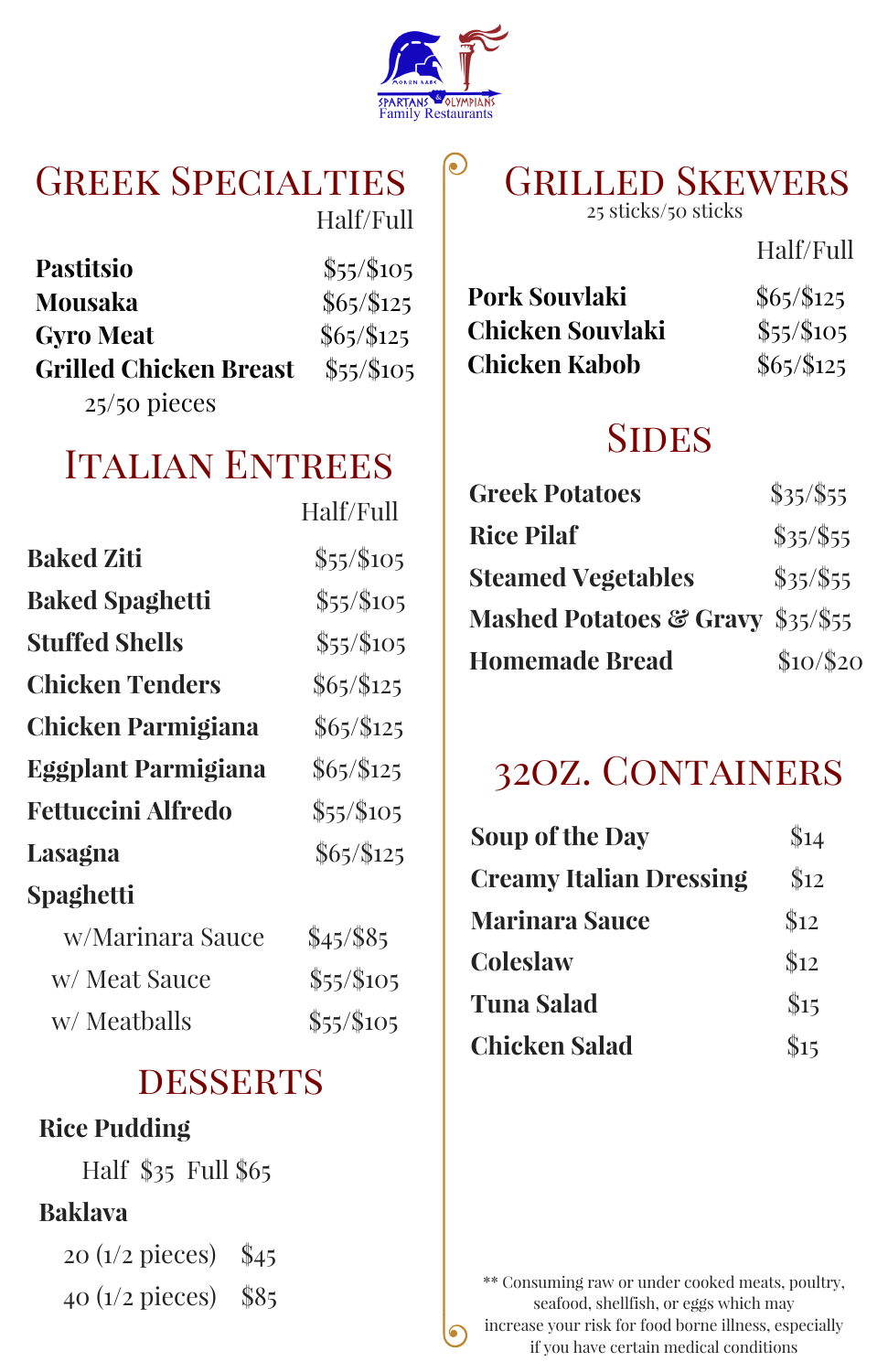

#### GREEK SPECIALTIES CRILLED SKEWERS Half/Full

| Pastitsio                     | \$55/\$105  |
|-------------------------------|-------------|
| Mousaka                       | $$65/\$125$ |
| <b>Gyro Meat</b>              | $$65/\$125$ |
| <b>Grilled Chicken Breast</b> | \$55/\$105  |
| $25/50$ pieces                |             |

# 25 sticks/50 sticks

Half/Full

| Pork Souvlaki           | $$65/\$125$ |
|-------------------------|-------------|
| <b>Chicken Souvlaki</b> | $$55/\$105$ |
| <b>Chicken Kabob</b>    | $$65/\$125$ |

## **SIDES**

| <b>Greek Potatoes</b>             | $$35/\$55$ |
|-----------------------------------|------------|
| <b>Rice Pilaf</b>                 | \$35/\$55  |
| <b>Steamed Vegetables</b>         | \$35/\$55  |
| Mashed Potatoes & Gravy \$35/\$55 |            |
| <b>Homemade Bread</b>             | \$10/\$20  |

## 32oz. Containers

| Soup of the Day                | $\$14$ |
|--------------------------------|--------|
| <b>Creamy Italian Dressing</b> | \$12   |
| <b>Marinara Sauce</b>          | \$12   |
| Coleslaw                       | \$12   |
| <b>Tuna Salad</b>              | \$15   |
| <b>Chicken Salad</b>           | \$15   |

\*\* Consuming raw or under cooked meats, poultry, seafood, shellfish, or eggs which may increase your risk for food borne illness, especially if you have certain medical conditions

## Italian Entrees

|                           | Half/Full   |
|---------------------------|-------------|
| <b>Baked Ziti</b>         | \$55/\$105  |
| <b>Baked Spaghetti</b>    | \$55/\$105  |
| Stuffed Shells            | \$55/\$105  |
| Chicken Tenders           | $$65/\$125$ |
| Chicken Parmigiana        | $$65/\$125$ |
| Eggplant Parmigiana       | $$65/\$125$ |
| <b>Fettuccini Alfredo</b> | \$55/\$105  |
| Lasagna                   | $$65/\$125$ |
| <b>Spaghetti</b>          |             |
| w/Marinara Sauce          | $$45/$ \$85 |
| w/ Meat Sauce             | \$55/\$105  |
| w/ Meatballs              | \$55/\$105  |

### **DESSERTS**

#### **Rice Pudding**

Half \$35 Full \$65

#### **Baklava**

20 (1/2 pieces) \$45

40 (1/2 pieces) \$85